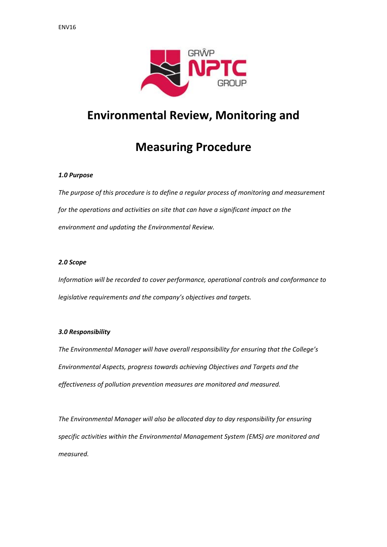

## **Environmental Review, Monitoring and**

# **Measuring Procedure**

### *1.0 Purpose*

*The purpose of this procedure is to define a regular process of monitoring and measurement for the operations and activities on site that can have a significant impact on the environment and updating the Environmental Review.* 

#### *2.0 Scope*

*Information will be recorded to cover performance, operational controls and conformance to legislative requirements and the company's objectives and targets.*

#### *3.0 Responsibility*

*The Environmental Manager will have overall responsibility for ensuring that the College's Environmental Aspects, progress towards achieving Objectives and Targets and the effectiveness of pollution prevention measures are monitored and measured.*

*The Environmental Manager will also be allocated day to day responsibility for ensuring specific activities within the Environmental Management System (EMS) are monitored and measured.*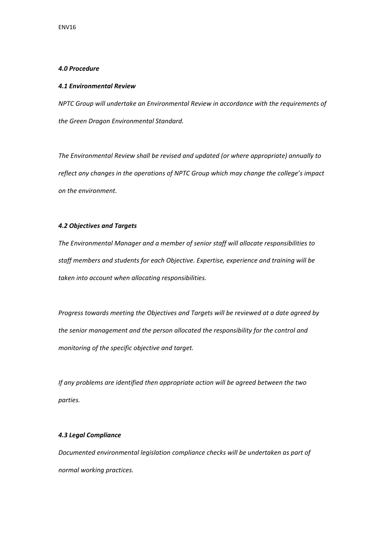### *4.0 Procedure*

#### *4.1 Environmental Review*

*NPTC Group will undertake an Environmental Review in accordance with the requirements of the Green Dragon Environmental Standard.* 

*The Environmental Review shall be revised and updated (or where appropriate) annually to reflect any changes in the operations of NPTC Group which may change the college's impact on the environment.* 

### *4.2 Objectives and Targets*

*The Environmental Manager and a member of senior staff will allocate responsibilities to staff members and students for each Objective. Expertise, experience and training will be taken into account when allocating responsibilities.* 

*Progress towards meeting the Objectives and Targets will be reviewed at a date agreed by the senior management and the person allocated the responsibility for the control and monitoring of the specific objective and target.*

*If any problems are identified then appropriate action will be agreed between the two parties.*

#### *4.3 Legal Compliance*

*Documented environmental legislation compliance checks will be undertaken as part of normal working practices.*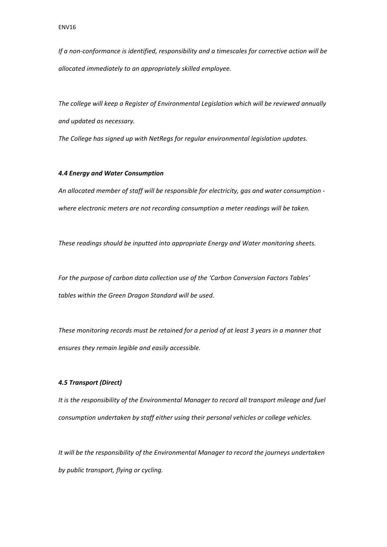*If a non‐conformance is identified, responsibility and a timescales for corrective action will be allocated immediately to an appropriately skilled employee.*

*The college will keep a Register of Environmental Legislation which will be reviewed annually and updated as necessary.* 

*The College has signed up with NetRegs for regular environmental legislation updates.* 

#### *4.4 Energy and Water Consumption*

*An allocated member of staff will be responsible for electricity, gas and water consumption ‐ where electronic meters are not recording consumption a meter readings will be taken.*

*These readings should be inputted into appropriate Energy and Water monitoring sheets.*

*For the purpose of carbon data collection use of the 'Carbon Conversion Factors Tables' tables within the Green Dragon Standard will be used.*

*These monitoring records must be retained for a period of at least 3 years in a manner that ensures they remain legible and easily accessible.*

#### *4.5 Transport (Direct)*

*It is the responsibility of the Environmental Manager to record all transport mileage and fuel consumption undertaken by staff either using their personal vehicles or college vehicles.* 

*It will be the responsibility of the Environmental Manager to record the journeys undertaken by public transport, flying or cycling.*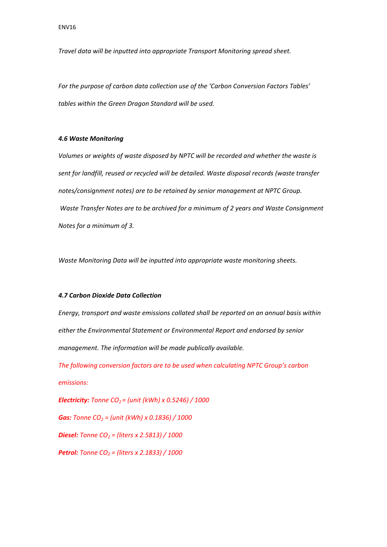*Travel data will be inputted into appropriate Transport Monitoring spread sheet.* 

*For the purpose of carbon data collection use of the 'Carbon Conversion Factors Tables' tables within the Green Dragon Standard will be used.*

#### *4.6 Waste Monitoring*

*Volumes or weights of waste disposed by NPTC will be recorded and whether the waste is sent for landfill, reused or recycled will be detailed. Waste disposal records (waste transfer notes/consignment notes) are to be retained by senior management at NPTC Group. Waste Transfer Notes are to be archived for a minimum of 2 years and Waste Consignment Notes for a minimum of 3.*

*Waste Monitoring Data will be inputted into appropriate waste monitoring sheets.* 

#### *4.7 Carbon Dioxide Data Collection*

*Energy, transport and waste emissions collated shall be reported on an annual basis within either the Environmental Statement or Environmental Report and endorsed by senior management. The information will be made publically available.* 

*The following conversion factors are to be used when calculating NPTC Group's carbon emissions:*

*Electricity: Tonne CO2 = (unit (kWh) x 0.5246) / 1000*

*Gas: Tonne CO2 = (unit (kWh) x 0.1836) / 1000*

*Diesel: Tonne CO2 = (liters x 2.5813) / 1000*

*Petrol: Tonne CO2 = (liters x 2.1833) / 1000*